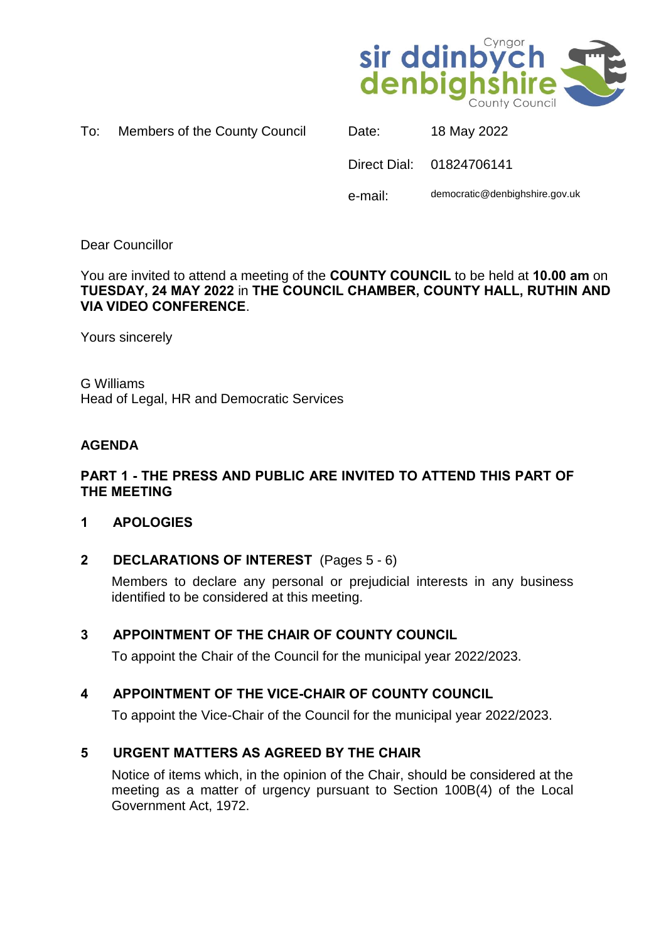

| Members of the County Council | To: |  |  |  |  |
|-------------------------------|-----|--|--|--|--|
|-------------------------------|-----|--|--|--|--|

|         | Direct Dial: 01824706141       |
|---------|--------------------------------|
| e-mail: | democratic@denbighshire.gov.uk |

Date: 18 May 2022

Dear Councillor

You are invited to attend a meeting of the **COUNTY COUNCIL** to be held at **10.00 am** on **TUESDAY, 24 MAY 2022** in **THE COUNCIL CHAMBER, COUNTY HALL, RUTHIN AND VIA VIDEO CONFERENCE**.

Yours sincerely

G Williams Head of Legal, HR and Democratic Services

# **AGENDA**

## **PART 1 - THE PRESS AND PUBLIC ARE INVITED TO ATTEND THIS PART OF THE MEETING**

### **1 APOLOGIES**

**2 DECLARATIONS OF INTEREST** (Pages 5 - 6)

Members to declare any personal or prejudicial interests in any business identified to be considered at this meeting.

### **3 APPOINTMENT OF THE CHAIR OF COUNTY COUNCIL**

To appoint the Chair of the Council for the municipal year 2022/2023.

# **4 APPOINTMENT OF THE VICE-CHAIR OF COUNTY COUNCIL**

To appoint the Vice-Chair of the Council for the municipal year 2022/2023.

# **5 URGENT MATTERS AS AGREED BY THE CHAIR**

Notice of items which, in the opinion of the Chair, should be considered at the meeting as a matter of urgency pursuant to Section 100B(4) of the Local Government Act, 1972.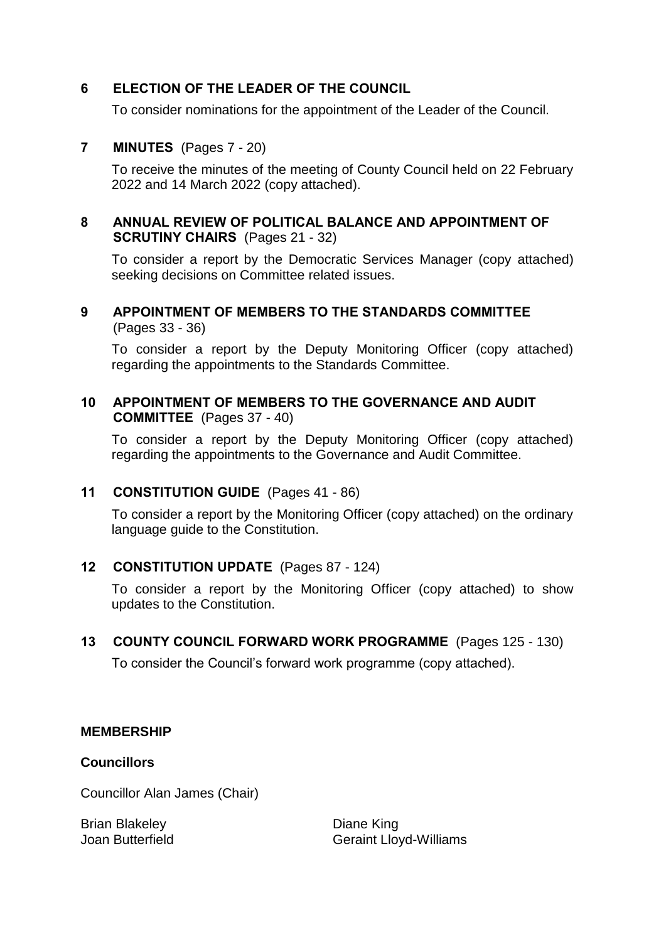# **6 ELECTION OF THE LEADER OF THE COUNCIL**

To consider nominations for the appointment of the Leader of the Council.

# **7 MINUTES** (Pages 7 - 20)

To receive the minutes of the meeting of County Council held on 22 February 2022 and 14 March 2022 (copy attached).

## **8 ANNUAL REVIEW OF POLITICAL BALANCE AND APPOINTMENT OF SCRUTINY CHAIRS** (Pages 21 - 32)

To consider a report by the Democratic Services Manager (copy attached) seeking decisions on Committee related issues.

## **9 APPOINTMENT OF MEMBERS TO THE STANDARDS COMMITTEE** (Pages 33 - 36)

To consider a report by the Deputy Monitoring Officer (copy attached) regarding the appointments to the Standards Committee.

# **10 APPOINTMENT OF MEMBERS TO THE GOVERNANCE AND AUDIT COMMITTEE** (Pages 37 - 40)

To consider a report by the Deputy Monitoring Officer (copy attached) regarding the appointments to the Governance and Audit Committee.

# **11 CONSTITUTION GUIDE** (Pages 41 - 86)

To consider a report by the Monitoring Officer (copy attached) on the ordinary language guide to the Constitution.

# **12 CONSTITUTION UPDATE** (Pages 87 - 124)

To consider a report by the Monitoring Officer (copy attached) to show updates to the Constitution.

### **13 COUNTY COUNCIL FORWARD WORK PROGRAMME** (Pages 125 - 130)

To consider the Council's forward work programme (copy attached).

### **MEMBERSHIP**

### **Councillors**

Councillor Alan James (Chair)

Brian Blakeley Joan Butterfield Diane King Geraint Lloyd-Williams